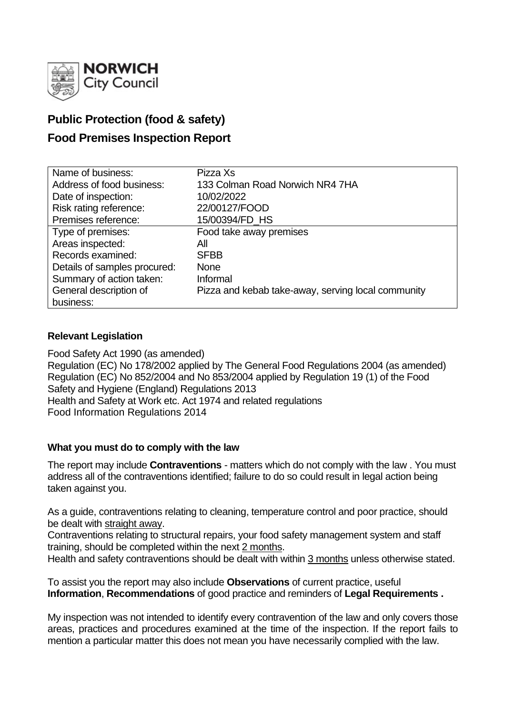

# **Public Protection (food & safety)**

## **Food Premises Inspection Report**

| Name of business:            | Pizza Xs                                           |
|------------------------------|----------------------------------------------------|
| Address of food business:    | 133 Colman Road Norwich NR4 7HA                    |
| Date of inspection:          | 10/02/2022                                         |
| Risk rating reference:       | 22/00127/FOOD                                      |
| Premises reference:          | 15/00394/FD_HS                                     |
| Type of premises:            | Food take away premises                            |
| Areas inspected:             | Αll                                                |
| Records examined:            | <b>SFBB</b>                                        |
| Details of samples procured: | <b>None</b>                                        |
| Summary of action taken:     | Informal                                           |
| General description of       | Pizza and kebab take-away, serving local community |
| business:                    |                                                    |

#### **Relevant Legislation**

Food Safety Act 1990 (as amended) Regulation (EC) No 178/2002 applied by The General Food Regulations 2004 (as amended) Regulation (EC) No 852/2004 and No 853/2004 applied by Regulation 19 (1) of the Food Safety and Hygiene (England) Regulations 2013 Health and Safety at Work etc. Act 1974 and related regulations Food Information Regulations 2014

#### **What you must do to comply with the law**

The report may include **Contraventions** - matters which do not comply with the law . You must address all of the contraventions identified; failure to do so could result in legal action being taken against you.

As a guide, contraventions relating to cleaning, temperature control and poor practice, should be dealt with straight away.

Contraventions relating to structural repairs, your food safety management system and staff training, should be completed within the next 2 months.

Health and safety contraventions should be dealt with within 3 months unless otherwise stated.

To assist you the report may also include **Observations** of current practice, useful **Information**, **Recommendations** of good practice and reminders of **Legal Requirements .**

My inspection was not intended to identify every contravention of the law and only covers those areas, practices and procedures examined at the time of the inspection. If the report fails to mention a particular matter this does not mean you have necessarily complied with the law.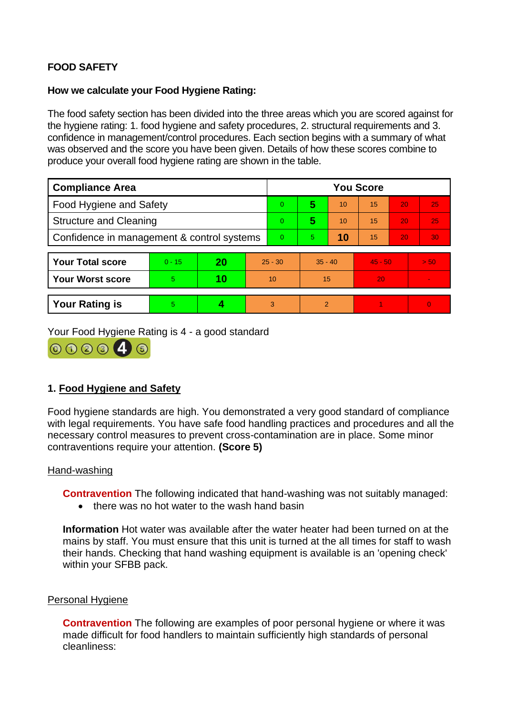## **FOOD SAFETY**

#### **How we calculate your Food Hygiene Rating:**

The food safety section has been divided into the three areas which you are scored against for the hygiene rating: 1. food hygiene and safety procedures, 2. structural requirements and 3. confidence in management/control procedures. Each section begins with a summary of what was observed and the score you have been given. Details of how these scores combine to produce your overall food hygiene rating are shown in the table.

| <b>Compliance Area</b>                     |          |    |                | <b>You Score</b> |           |    |           |    |                 |  |
|--------------------------------------------|----------|----|----------------|------------------|-----------|----|-----------|----|-----------------|--|
| Food Hygiene and Safety                    |          |    |                | $\overline{0}$   | 5         | 10 | 15        | 20 | 25              |  |
| <b>Structure and Cleaning</b>              |          |    |                | $\overline{0}$   | 5         | 10 | 15        | 20 | 25 <sub>1</sub> |  |
| Confidence in management & control systems |          |    | $\overline{0}$ | 5.               | 10        | 15 | 20        | 30 |                 |  |
|                                            |          |    |                |                  |           |    |           |    |                 |  |
| <b>Your Total score</b>                    | $0 - 15$ | 20 | $25 - 30$      |                  | $35 - 40$ |    | $45 - 50$ |    | > 50            |  |
| <b>Your Worst score</b>                    | 5        | 10 | 10             |                  | 15        |    | 20        |    |                 |  |
|                                            |          |    |                |                  |           |    |           |    |                 |  |
| <b>Your Rating is</b>                      | 5        | 4  |                | 3                | 2         |    |           |    | $\Omega$        |  |

Your Food Hygiene Rating is 4 - a good standard



### **1. Food Hygiene and Safety**

Food hygiene standards are high. You demonstrated a very good standard of compliance with legal requirements. You have safe food handling practices and procedures and all the necessary control measures to prevent cross-contamination are in place. Some minor contraventions require your attention. **(Score 5)**

#### Hand-washing

**Contravention** The following indicated that hand-washing was not suitably managed:

• there was no hot water to the wash hand basin

**Information** Hot water was available after the water heater had been turned on at the mains by staff. You must ensure that this unit is turned at the all times for staff to wash their hands. Checking that hand washing equipment is available is an 'opening check' within your SFBB pack.

#### Personal Hygiene

**Contravention** The following are examples of poor personal hygiene or where it was made difficult for food handlers to maintain sufficiently high standards of personal cleanliness: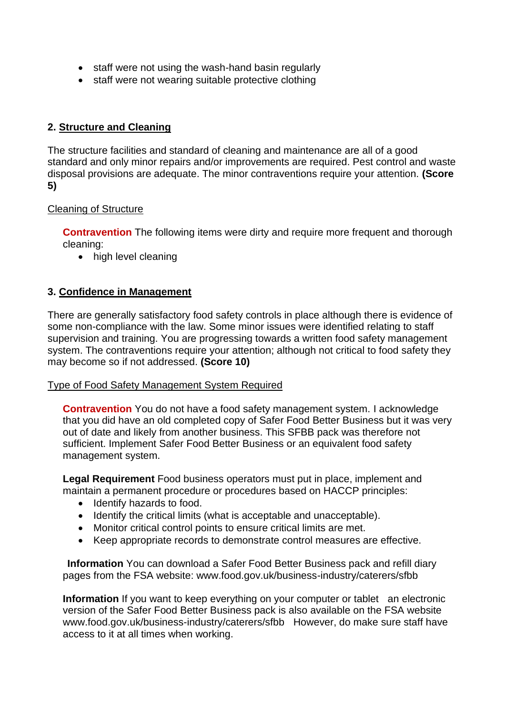- staff were not using the wash-hand basin regularly
- staff were not wearing suitable protective clothing

#### **2. Structure and Cleaning**

The structure facilities and standard of cleaning and maintenance are all of a good standard and only minor repairs and/or improvements are required. Pest control and waste disposal provisions are adequate. The minor contraventions require your attention. **(Score 5)**

#### Cleaning of Structure

**Contravention** The following items were dirty and require more frequent and thorough cleaning:

• high level cleaning

#### **3. Confidence in Management**

There are generally satisfactory food safety controls in place although there is evidence of some non-compliance with the law. Some minor issues were identified relating to staff supervision and training. You are progressing towards a written food safety management system. The contraventions require your attention; although not critical to food safety they may become so if not addressed. **(Score 10)**

#### Type of Food Safety Management System Required

**Contravention** You do not have a food safety management system. I acknowledge that you did have an old completed copy of Safer Food Better Business but it was very out of date and likely from another business. This SFBB pack was therefore not sufficient. Implement Safer Food Better Business or an equivalent food safety management system.

**Legal Requirement** Food business operators must put in place, implement and maintain a permanent procedure or procedures based on HACCP principles:

- Identify hazards to food.
- Identify the critical limits (what is acceptable and unacceptable).
- Monitor critical control points to ensure critical limits are met.
- Keep appropriate records to demonstrate control measures are effective.

**Information** You can download a Safer Food Better Business pack and refill diary pages from the FSA website: www.food.gov.uk/business-industry/caterers/sfbb

**Information** If you want to keep everything on your computer or tablet an electronic version of the Safer Food Better Business pack is also available on the FSA website www.food.gov.uk/business-industry/caterers/sfbb However, do make sure staff have access to it at all times when working.